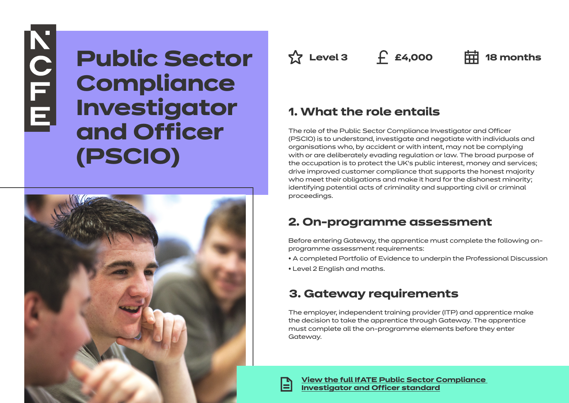# **NOTE**

# **Public Sector Compliance Investigator and Officer (PSCIO)**



**Az Level 3 f £4,000 中 18** months

# **1. What the role entails**

The role of the Public Sector Compliance Investigator and Officer (PSCIO) is to understand, investigate and negotiate with individuals and organisations who, by accident or with intent, may not be complying with or are deliberately evading regulation or law. The broad purpose of the occupation is to protect the UK's public interest, money and services; drive improved customer compliance that supports the honest majority who meet their obligations and make it hard for the dishonest minority; identifying potential acts of criminality and supporting civil or criminal proceedings.

# **2. On-programme assessment**

Before entering Gateway, the apprentice must complete the following onprogramme assessment requirements:

- A completed Portfolio of Evidence to underpin the Professional Discussion
- Level 2 English and maths.

# **3. Gateway requirements**

The employer, independent training provider (ITP) and apprentice make the decision to take the apprentice through Gateway. The apprentice must complete all the on-programme elements before they enter Gateway.

**[View the full IfATE Public Sector Compliance](https://www.instituteforapprenticeships.org/apprenticeship-standards/healthcare-assistant-practitioner/)  [Investigator and Officer standard](https://www.instituteforapprenticeships.org/apprenticeship-standards/public-sector-compliance-investigator-and-officer/)**